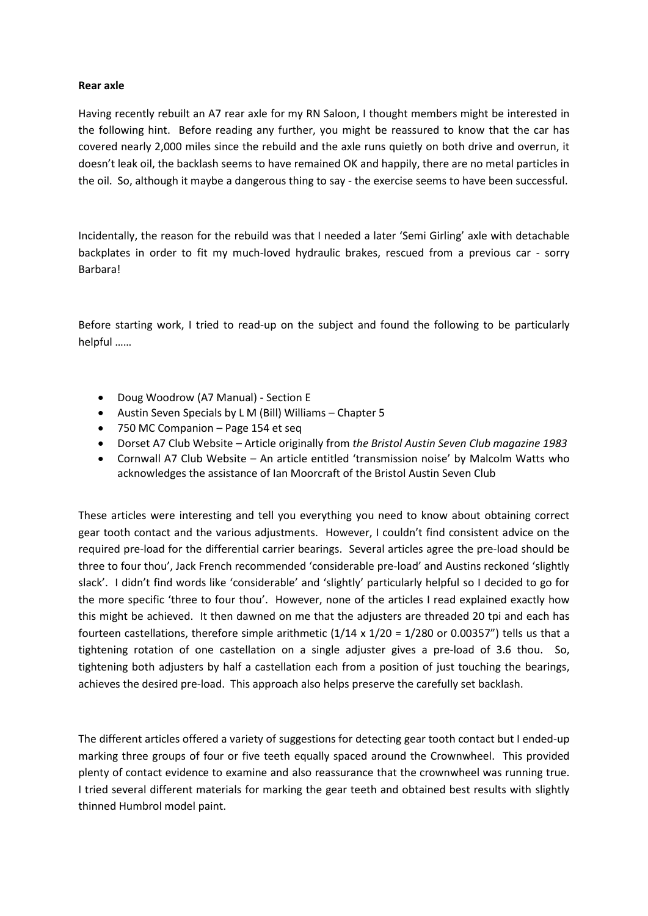## **Rear axle**

Having recently rebuilt an A7 rear axle for my RN Saloon, I thought members might be interested in the following hint. Before reading any further, you might be reassured to know that the car has covered nearly 2,000 miles since the rebuild and the axle runs quietly on both drive and overrun, it doesn't leak oil, the backlash seems to have remained OK and happily, there are no metal particles in the oil. So, although it maybe a dangerous thing to say - the exercise seems to have been successful.

Incidentally, the reason for the rebuild was that I needed a later 'Semi Girling' axle with detachable backplates in order to fit my much-loved hydraulic brakes, rescued from a previous car - sorry Barbara!

Before starting work, I tried to read-up on the subject and found the following to be particularly helpful ……

- Doug Woodrow (A7 Manual) Section E
- Austin Seven Specials by L M (Bill) Williams Chapter 5
- 750 MC Companion Page 154 et seq
- Dorset A7 Club Website Article originally from *the Bristol Austin Seven Club magazine 1983*
- Cornwall A7 Club Website An article entitled 'transmission noise' by Malcolm Watts who acknowledges the assistance of Ian Moorcraft of the Bristol Austin Seven Club

These articles were interesting and tell you everything you need to know about obtaining correct gear tooth contact and the various adjustments. However, I couldn't find consistent advice on the required pre-load for the differential carrier bearings. Several articles agree the pre-load should be three to four thou', Jack French recommended 'considerable pre-load' and Austins reckoned 'slightly slack'. I didn't find words like 'considerable' and 'slightly' particularly helpful so I decided to go for the more specific 'three to four thou'. However, none of the articles I read explained exactly how this might be achieved. It then dawned on me that the adjusters are threaded 20 tpi and each has fourteen castellations, therefore simple arithmetic  $(1/14 \times 1/20 = 1/280$  or 0.00357") tells us that a tightening rotation of one castellation on a single adjuster gives a pre-load of 3.6 thou. So, tightening both adjusters by half a castellation each from a position of just touching the bearings, achieves the desired pre-load. This approach also helps preserve the carefully set backlash.

The different articles offered a variety of suggestions for detecting gear tooth contact but I ended-up marking three groups of four or five teeth equally spaced around the Crownwheel. This provided plenty of contact evidence to examine and also reassurance that the crownwheel was running true. I tried several different materials for marking the gear teeth and obtained best results with slightly thinned Humbrol model paint.